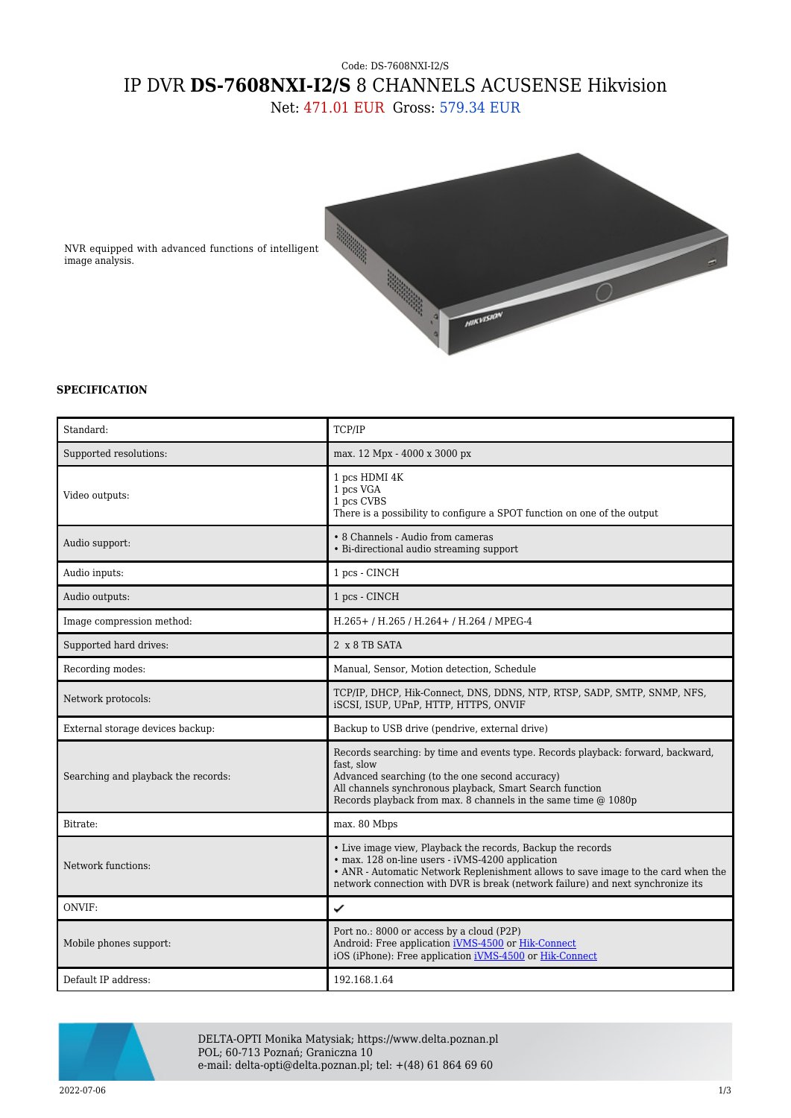## Code: DS-7608NXI-I2/S IP DVR **DS-7608NXI-I2/S** 8 CHANNELS ACUSENSE Hikvision Net: 471.01 EUR Gross: 579.34 EUR



NVR equipped with advanced functions of intelligent image analysis.

## **SPECIFICATION**

| Standard:                           | TCP/IP                                                                                                                                                                                                                                                                                  |
|-------------------------------------|-----------------------------------------------------------------------------------------------------------------------------------------------------------------------------------------------------------------------------------------------------------------------------------------|
| Supported resolutions:              | max. 12 Mpx - 4000 x 3000 px                                                                                                                                                                                                                                                            |
| Video outputs:                      | 1 pcs HDMI 4K<br>1 pcs VGA<br>1 pcs CVBS<br>There is a possibility to configure a SPOT function on one of the output                                                                                                                                                                    |
| Audio support:                      | • 8 Channels - Audio from cameras<br>• Bi-directional audio streaming support                                                                                                                                                                                                           |
| Audio inputs:                       | 1 pcs - CINCH                                                                                                                                                                                                                                                                           |
| Audio outputs:                      | 1 pcs - CINCH                                                                                                                                                                                                                                                                           |
| Image compression method:           | H.265+ / H.265 / H.264+ / H.264 / MPEG-4                                                                                                                                                                                                                                                |
| Supported hard drives:              | 2 x 8 TB SATA                                                                                                                                                                                                                                                                           |
| Recording modes:                    | Manual, Sensor, Motion detection, Schedule                                                                                                                                                                                                                                              |
| Network protocols:                  | TCP/IP, DHCP, Hik-Connect, DNS, DDNS, NTP, RTSP, SADP, SMTP, SNMP, NFS,<br>iSCSI, ISUP, UPnP, HTTP, HTTPS, ONVIF                                                                                                                                                                        |
| External storage devices backup:    | Backup to USB drive (pendrive, external drive)                                                                                                                                                                                                                                          |
| Searching and playback the records: | Records searching: by time and events type. Records playback: forward, backward,<br>fast, slow<br>Advanced searching (to the one second accuracy)<br>All channels synchronous playback, Smart Search function<br>Records playback from max. 8 channels in the same time @ 1080p         |
| Bitrate:                            | max. 80 Mbps                                                                                                                                                                                                                                                                            |
| Network functions:                  | • Live image view, Playback the records, Backup the records<br>• max. 128 on-line users - iVMS-4200 application<br>• ANR - Automatic Network Replenishment allows to save image to the card when the<br>network connection with DVR is break (network failure) and next synchronize its |
| ONVIF:                              | ✓                                                                                                                                                                                                                                                                                       |
| Mobile phones support:              | Port no.: 8000 or access by a cloud (P2P)<br>Android: Free application iVMS-4500 or Hik-Connect<br>iOS (iPhone): Free application iVMS-4500 or Hik-Connect                                                                                                                              |
| Default IP address:                 | 192.168.1.64                                                                                                                                                                                                                                                                            |



DELTA-OPTI Monika Matysiak; https://www.delta.poznan.pl POL; 60-713 Poznań; Graniczna 10 e-mail: delta-opti@delta.poznan.pl; tel: +(48) 61 864 69 60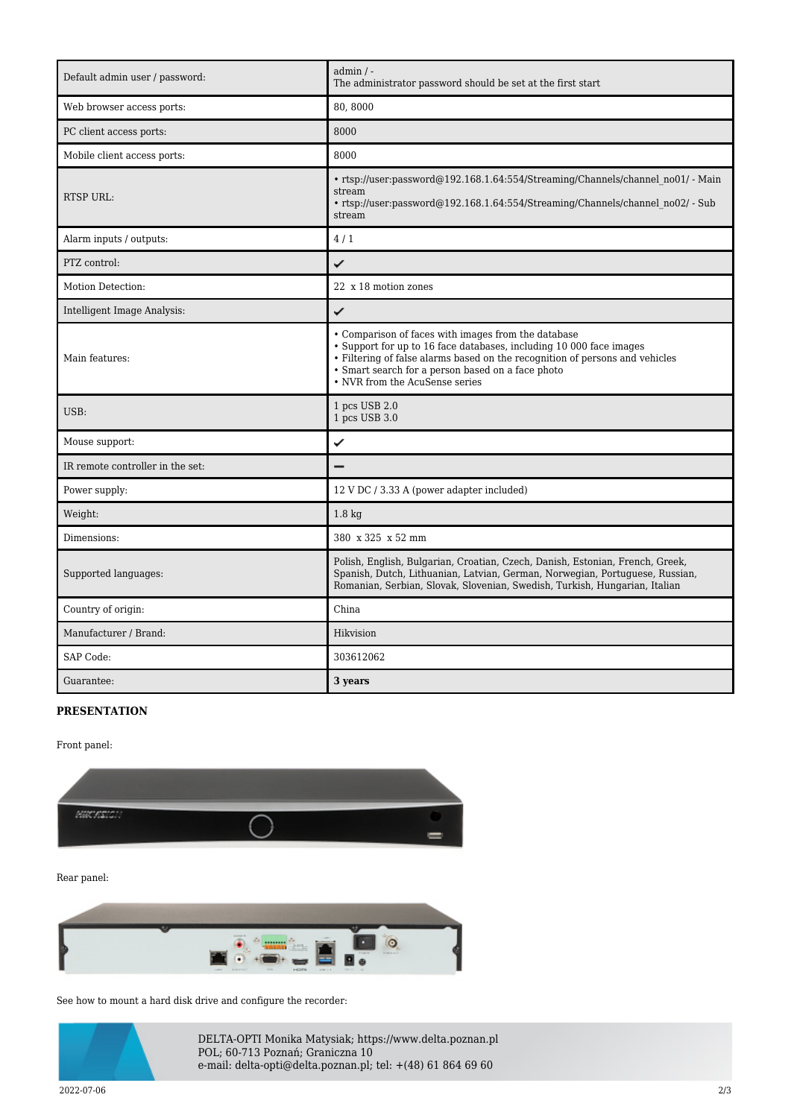| Default admin user / password:   | $admin / -$<br>The administrator password should be set at the first start                                                                                                                                                                                                                        |
|----------------------------------|---------------------------------------------------------------------------------------------------------------------------------------------------------------------------------------------------------------------------------------------------------------------------------------------------|
| Web browser access ports:        | 80,8000                                                                                                                                                                                                                                                                                           |
| PC client access ports:          | 8000                                                                                                                                                                                                                                                                                              |
| Mobile client access ports:      | 8000                                                                                                                                                                                                                                                                                              |
| <b>RTSP URL:</b>                 | • rtsp://user:password@192.168.1.64:554/Streaming/Channels/channel no01/ - Main<br>stream<br>• rtsp://user:password@192.168.1.64:554/Streaming/Channels/channel no02/ - Sub<br>stream                                                                                                             |
| Alarm inputs / outputs:          | 4/1                                                                                                                                                                                                                                                                                               |
| PTZ control:                     | ✓                                                                                                                                                                                                                                                                                                 |
| Motion Detection:                | 22 x 18 motion zones                                                                                                                                                                                                                                                                              |
| Intelligent Image Analysis:      | ✓                                                                                                                                                                                                                                                                                                 |
| Main features:                   | • Comparison of faces with images from the database<br>• Support for up to 16 face databases, including 10 000 face images<br>• Filtering of false alarms based on the recognition of persons and vehicles<br>• Smart search for a person based on a face photo<br>• NVR from the AcuSense series |
| USB:                             | 1 pcs USB 2.0<br>1 pcs USB 3.0                                                                                                                                                                                                                                                                    |
| Mouse support:                   | ✓                                                                                                                                                                                                                                                                                                 |
| IR remote controller in the set: |                                                                                                                                                                                                                                                                                                   |
| Power supply:                    | 12 V DC / 3.33 A (power adapter included)                                                                                                                                                                                                                                                         |
| Weight:                          | $1.8 \text{ kg}$                                                                                                                                                                                                                                                                                  |
| Dimensions:                      | 380 x 325 x 52 mm                                                                                                                                                                                                                                                                                 |
| Supported languages:             | Polish, English, Bulgarian, Croatian, Czech, Danish, Estonian, French, Greek,<br>Spanish, Dutch, Lithuanian, Latvian, German, Norwegian, Portuguese, Russian,<br>Romanian, Serbian, Slovak, Slovenian, Swedish, Turkish, Hungarian, Italian                                                       |
| Country of origin:               | China                                                                                                                                                                                                                                                                                             |
| Manufacturer / Brand:            | Hikvision                                                                                                                                                                                                                                                                                         |
| SAP Code:                        | 303612062                                                                                                                                                                                                                                                                                         |
| Guarantee:                       | 3 years                                                                                                                                                                                                                                                                                           |

## **PRESENTATION**

Front panel:



Rear panel:



See how to mount a hard disk drive and configure the recorder:



DELTA-OPTI Monika Matysiak; https://www.delta.poznan.pl POL; 60-713 Poznań; Graniczna 10 e-mail: delta-opti@delta.poznan.pl; tel: +(48) 61 864 69 60